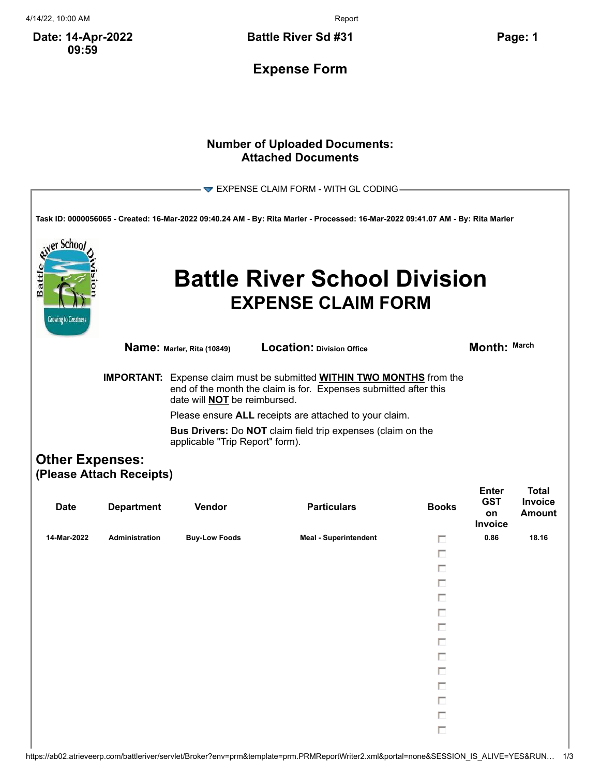4/14/22, 10:00 AM Report

**Date: 14-Apr-2022 09:59**

**Battle River Sd #31 Page: 1**

**Expense Form**

## **Number of Uploaded Documents: Attached Documents**

| EXPENSE CLAIM FORM - WITH GL CODING-                                                                                            |                                                                                                              |                                                                                                                                                                              |                                                                  |              |                                                    |                                                 |  |  |  |
|---------------------------------------------------------------------------------------------------------------------------------|--------------------------------------------------------------------------------------------------------------|------------------------------------------------------------------------------------------------------------------------------------------------------------------------------|------------------------------------------------------------------|--------------|----------------------------------------------------|-------------------------------------------------|--|--|--|
|                                                                                                                                 |                                                                                                              |                                                                                                                                                                              |                                                                  |              |                                                    |                                                 |  |  |  |
| Task ID: 0000056065 - Created: 16-Mar-2022 09:40.24 AM - By: Rita Marler - Processed: 16-Mar-2022 09:41.07 AM - By: Rita Marler |                                                                                                              |                                                                                                                                                                              |                                                                  |              |                                                    |                                                 |  |  |  |
| er Schoo<br>Battl<br><b>Growing to Greatness</b>                                                                                |                                                                                                              |                                                                                                                                                                              | <b>Battle River School Division</b><br><b>EXPENSE CLAIM FORM</b> |              |                                                    |                                                 |  |  |  |
|                                                                                                                                 |                                                                                                              | Name: Marler, Rita (10849)                                                                                                                                                   | Location: Division Office                                        |              | Month: March                                       |                                                 |  |  |  |
|                                                                                                                                 | <b>IMPORTANT:</b>                                                                                            | Expense claim must be submitted <b>WITHIN TWO MONTHS</b> from the<br>end of the month the claim is for. Expenses submitted after this<br>date will <b>NOT</b> be reimbursed. |                                                                  |              |                                                    |                                                 |  |  |  |
|                                                                                                                                 |                                                                                                              | Please ensure ALL receipts are attached to your claim.                                                                                                                       |                                                                  |              |                                                    |                                                 |  |  |  |
|                                                                                                                                 | <b>Bus Drivers:</b> Do <b>NOT</b> claim field trip expenses (claim on the<br>applicable "Trip Report" form). |                                                                                                                                                                              |                                                                  |              |                                                    |                                                 |  |  |  |
| <b>Other Expenses:</b>                                                                                                          |                                                                                                              |                                                                                                                                                                              |                                                                  |              |                                                    |                                                 |  |  |  |
|                                                                                                                                 | (Please Attach Receipts)                                                                                     |                                                                                                                                                                              |                                                                  |              |                                                    |                                                 |  |  |  |
| <b>Date</b>                                                                                                                     | <b>Department</b>                                                                                            | Vendor                                                                                                                                                                       | <b>Particulars</b>                                               | <b>Books</b> | <b>Enter</b><br><b>GST</b><br>on<br><b>Invoice</b> | <b>Total</b><br><b>Invoice</b><br><b>Amount</b> |  |  |  |
| 14-Mar-2022                                                                                                                     | <b>Administration</b>                                                                                        | <b>Buy-Low Foods</b>                                                                                                                                                         | <b>Meal - Superintendent</b>                                     | п            | 0.86                                               | 18.16                                           |  |  |  |
|                                                                                                                                 |                                                                                                              |                                                                                                                                                                              |                                                                  | п            |                                                    |                                                 |  |  |  |
|                                                                                                                                 |                                                                                                              |                                                                                                                                                                              |                                                                  | п            |                                                    |                                                 |  |  |  |
|                                                                                                                                 |                                                                                                              |                                                                                                                                                                              |                                                                  | п            |                                                    |                                                 |  |  |  |
|                                                                                                                                 |                                                                                                              |                                                                                                                                                                              |                                                                  |              |                                                    |                                                 |  |  |  |
|                                                                                                                                 |                                                                                                              |                                                                                                                                                                              |                                                                  |              |                                                    |                                                 |  |  |  |
|                                                                                                                                 |                                                                                                              |                                                                                                                                                                              |                                                                  |              |                                                    |                                                 |  |  |  |
|                                                                                                                                 |                                                                                                              |                                                                                                                                                                              |                                                                  | П            |                                                    |                                                 |  |  |  |
|                                                                                                                                 |                                                                                                              |                                                                                                                                                                              |                                                                  | П            |                                                    |                                                 |  |  |  |
|                                                                                                                                 |                                                                                                              |                                                                                                                                                                              |                                                                  | П            |                                                    |                                                 |  |  |  |
|                                                                                                                                 |                                                                                                              |                                                                                                                                                                              |                                                                  | П            |                                                    |                                                 |  |  |  |
|                                                                                                                                 |                                                                                                              |                                                                                                                                                                              |                                                                  | П            |                                                    |                                                 |  |  |  |
|                                                                                                                                 |                                                                                                              |                                                                                                                                                                              |                                                                  | П            |                                                    |                                                 |  |  |  |
|                                                                                                                                 |                                                                                                              |                                                                                                                                                                              |                                                                  | П            |                                                    |                                                 |  |  |  |
|                                                                                                                                 |                                                                                                              |                                                                                                                                                                              |                                                                  |              |                                                    |                                                 |  |  |  |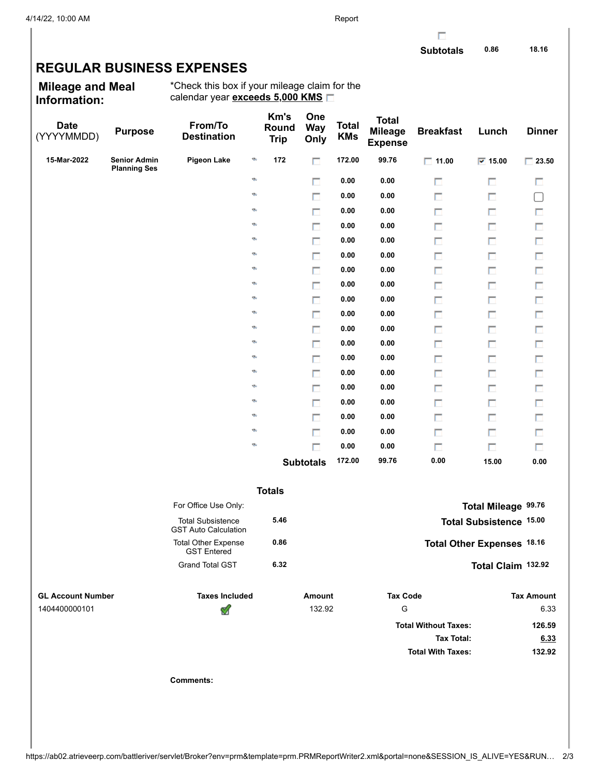## **REGULAR BUSINESS EXPENSES**

**Mileage and Meal Information:**

\*Check this box if your mileage claim for the calendar year **exceeds 5,000 KMS**

| <b>Date</b><br>(YYYYMMDD) | <b>Purpose</b>                             | From/To<br><b>Destination</b>                           |    | Km's<br>Round<br><b>Trip</b> | One<br><b>Way</b><br>Only | <b>Total</b><br><b>KMs</b> | <b>Total</b><br><b>Mileage</b><br><b>Expense</b> | <b>Breakfast</b>            | Lunch                          | <b>Dinner</b>     |
|---------------------------|--------------------------------------------|---------------------------------------------------------|----|------------------------------|---------------------------|----------------------------|--------------------------------------------------|-----------------------------|--------------------------------|-------------------|
| 15-Mar-2022               | <b>Senior Admin</b><br><b>Planning Ses</b> | <b>Pigeon Lake</b>                                      | ø  | 172                          | П                         | 172.00                     | 99.76                                            | $\Box$ 11.00                | $\overline{v}$ 15.00           | $\Box$ 23.50      |
|                           |                                            |                                                         | ø  |                              | п                         | 0.00                       | 0.00                                             | П                           | П                              | П                 |
|                           |                                            |                                                         | ø  |                              | $\Box$                    | 0.00                       | 0.00                                             | П                           | П                              | $\Box$            |
|                           |                                            |                                                         | ø  |                              | п                         | 0.00                       | 0.00                                             | П                           | П                              | П                 |
|                           |                                            |                                                         | Ø, |                              | П                         | 0.00                       | 0.00                                             | п                           | П                              | $\Box$            |
|                           |                                            |                                                         | Ø, |                              | п                         | 0.00                       | 0.00                                             | П                           | П                              | П                 |
|                           |                                            |                                                         | Ø, |                              | П                         | 0.00                       | 0.00                                             | П                           | П                              | П                 |
|                           |                                            |                                                         | ø  |                              | п                         | 0.00                       | 0.00                                             | П                           | П                              | П                 |
|                           |                                            |                                                         | Ø, |                              | П                         | 0.00                       | 0.00                                             | П                           | П                              | П                 |
|                           |                                            |                                                         | Ø, |                              | п                         | 0.00                       | 0.00                                             | П                           | П                              | П                 |
|                           |                                            |                                                         | Ø, |                              | П                         | 0.00                       | 0.00                                             | П                           | П                              | П                 |
|                           |                                            |                                                         | Ø, |                              | п                         | 0.00                       | 0.00                                             | П                           | П                              | П                 |
|                           |                                            |                                                         | Ø, |                              | П                         | 0.00                       | 0.00                                             | П                           | П                              | П                 |
|                           |                                            |                                                         | Ø, |                              | п                         | 0.00                       | 0.00                                             | П                           | П                              | П                 |
|                           |                                            |                                                         | Ø, |                              | П                         | 0.00                       | 0.00                                             | П                           | П                              | П                 |
|                           |                                            |                                                         | Ø, |                              | п                         | 0.00                       | 0.00                                             | П                           | П                              | П                 |
|                           |                                            |                                                         | Ø, |                              | П                         | 0.00                       | 0.00                                             | П                           | П                              | П                 |
|                           |                                            |                                                         | ø  |                              | п                         | 0.00                       | 0.00                                             | П                           | П                              | П                 |
|                           |                                            |                                                         | ø  |                              | п                         | 0.00                       | 0.00                                             | П                           | П                              | П                 |
|                           |                                            |                                                         | ø  |                              | п                         | 0.00                       | 0.00                                             | П                           | П                              | П                 |
|                           |                                            |                                                         |    |                              | <b>Subtotals</b>          | 172.00                     | 99.76                                            | 0.00                        | 15.00                          | 0.00              |
|                           |                                            |                                                         |    | <b>Totals</b>                |                           |                            |                                                  |                             |                                |                   |
|                           |                                            | For Office Use Only:                                    |    |                              |                           |                            |                                                  |                             | Total Mileage 99.76            |                   |
|                           |                                            | <b>Total Subsistence</b><br><b>GST Auto Calculation</b> |    | 5.46                         |                           |                            |                                                  |                             | <b>Total Subsistence 15.00</b> |                   |
|                           |                                            | <b>Total Other Expense</b><br><b>GST Entered</b>        |    | 0.86                         |                           |                            |                                                  |                             | Total Other Expenses 18.16     |                   |
|                           |                                            | <b>Grand Total GST</b>                                  |    | 6.32                         |                           |                            |                                                  |                             | Total Claim 132.92             |                   |
| <b>GL Account Number</b>  |                                            | <b>Taxes Included</b>                                   |    |                              | Amount                    |                            | <b>Tax Code</b>                                  |                             |                                | <b>Tax Amount</b> |
| 1404400000101             |                                            | ⅆ                                                       |    |                              | 132.92                    |                            | ${\mathsf G}$                                    |                             |                                | 6.33              |
|                           |                                            |                                                         |    |                              |                           |                            |                                                  | <b>Total Without Taxes:</b> |                                | 126.59            |
|                           |                                            |                                                         |    |                              |                           |                            |                                                  | <b>Tax Total:</b>           |                                | 6.33              |
|                           |                                            |                                                         |    |                              |                           |                            |                                                  | <b>Total With Taxes:</b>    |                                | 132.92            |
|                           |                                            | <b>Comments:</b>                                        |    |                              |                           |                            |                                                  |                             |                                |                   |